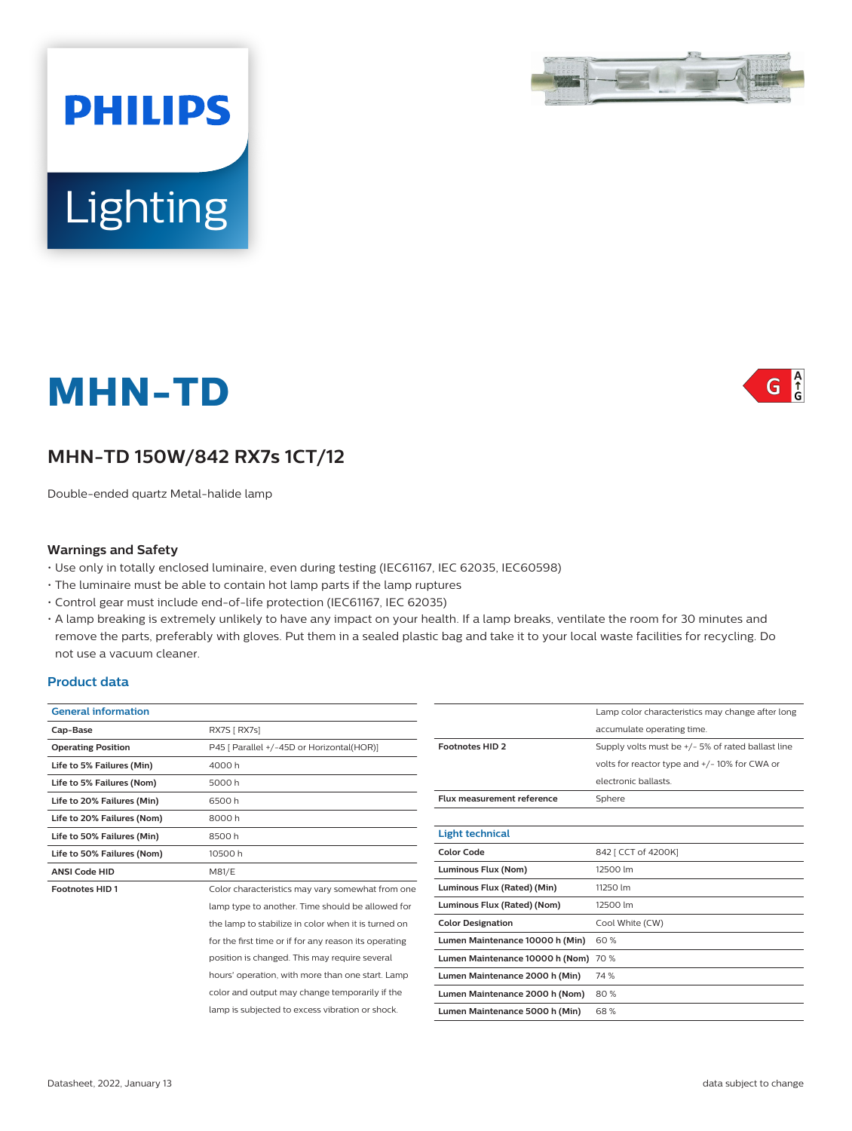# **MHN-TD**

Lighting

**PHILIPS** 

# **MHN-TD 150W/842 RX7s 1CT/12**

Double-ended quartz Metal-halide lamp

#### **Warnings and Safety**

- Use only in totally enclosed luminaire, even during testing (IEC61167, IEC 62035, IEC60598)
- The luminaire must be able to contain hot lamp parts if the lamp ruptures
- Control gear must include end-of-life protection (IEC61167, IEC 62035)
- A lamp breaking is extremely unlikely to have any impact on your health. If a lamp breaks, ventilate the room for 30 minutes and remove the parts, preferably with gloves. Put them in a sealed plastic bag and take it to your local waste facilities for recycling. Do not use a vacuum cleaner.

#### **Product data**

|                                                       |                                   | Lamp color characteristics may change after long  |
|-------------------------------------------------------|-----------------------------------|---------------------------------------------------|
|                                                       |                                   |                                                   |
| RX7S [ RX7s]                                          |                                   | accumulate operating time.                        |
| P45 [ Parallel +/-45D or Horizontal(HOR)]             | <b>Footnotes HID 2</b>            | Supply volts must be +/- 5% of rated ballast line |
| 4000 h                                                |                                   | volts for reactor type and +/-10% for CWA or      |
| 5000h                                                 |                                   | electronic ballasts.                              |
| 6500h                                                 | <b>Flux measurement reference</b> | Sphere                                            |
| 8000h                                                 |                                   |                                                   |
| 8500h                                                 | <b>Light technical</b>            |                                                   |
| 10500 h                                               | <b>Color Code</b>                 | 842 [ CCT of 4200K]                               |
| M81/E                                                 | Luminous Flux (Nom)               | 12500 lm                                          |
| Color characteristics may vary somewhat from one      | Luminous Flux (Rated) (Min)       | 11250 lm                                          |
| lamp type to another. Time should be allowed for      | Luminous Flux (Rated) (Nom)       | 12500 lm                                          |
| the lamp to stabilize in color when it is turned on   | <b>Color Designation</b>          | Cool White (CW)                                   |
| for the first time or if for any reason its operating | Lumen Maintenance 10000 h (Min)   | 60%                                               |
| position is changed. This may require several         |                                   |                                                   |
| hours' operation, with more than one start. Lamp      | Lumen Maintenance 2000 h (Min)    | 74 %                                              |
| color and output may change temporarily if the        | Lumen Maintenance 2000 h (Nom)    | 80%                                               |
| lamp is subjected to excess vibration or shock.       | Lumen Maintenance 5000 h (Min)    | 68%                                               |
|                                                       |                                   | Lumen Maintenance 10000 h (Nom) 70 %              |



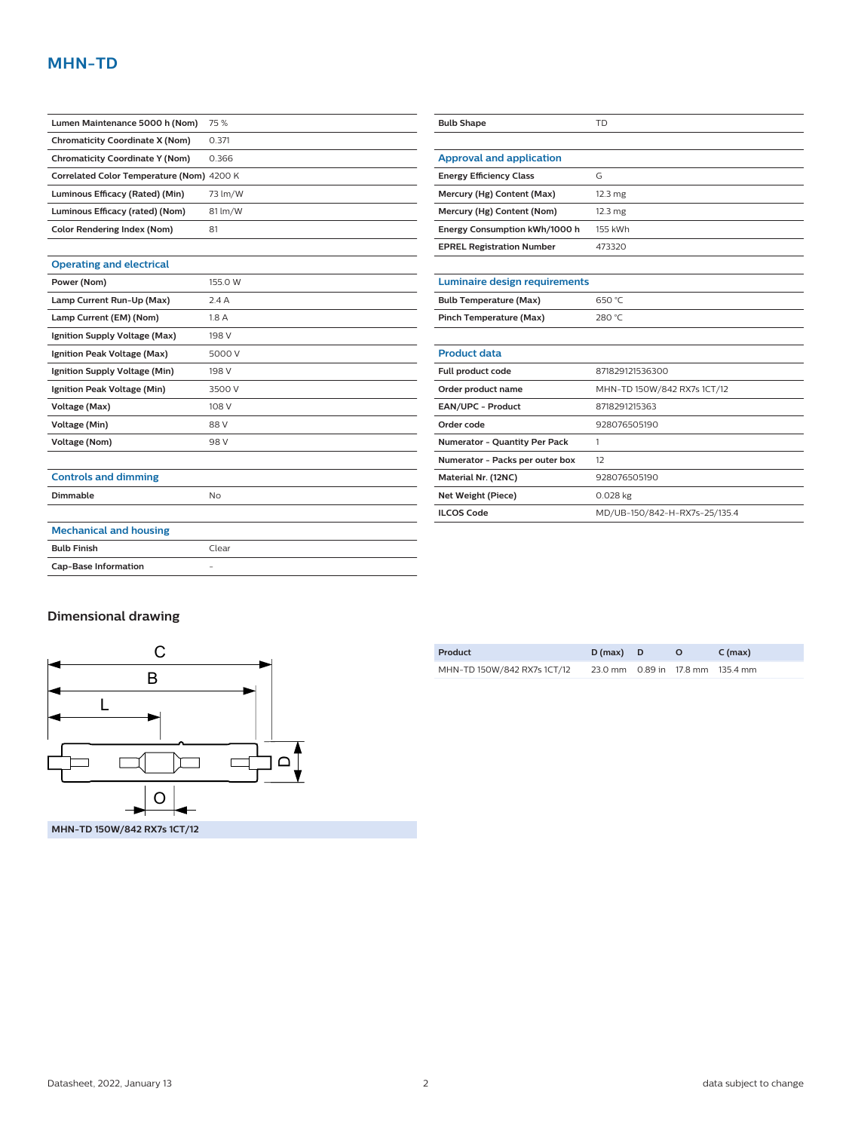# **MHN-TD**

| Lumen Maintenance 5000 h (Nom)            | 75 %                     | <b>Bulb Shape</b>                    | <b>TD</b>                     |
|-------------------------------------------|--------------------------|--------------------------------------|-------------------------------|
| <b>Chromaticity Coordinate X (Nom)</b>    | 0.371                    |                                      |                               |
| <b>Chromaticity Coordinate Y (Nom)</b>    | 0.366                    | <b>Approval and application</b>      |                               |
| Correlated Color Temperature (Nom) 4200 K |                          | <b>Energy Efficiency Class</b>       | G                             |
| Luminous Efficacy (Rated) (Min)           | 73 lm/W                  | Mercury (Hg) Content (Max)           | $12.3 \text{ mg}$             |
| Luminous Efficacy (rated) (Nom)           | 81 lm/W                  | Mercury (Hg) Content (Nom)           | $12.3 \text{ mg}$             |
| <b>Color Rendering Index (Nom)</b>        | 81                       | Energy Consumption kWh/1000 h        | 155 kWh                       |
|                                           |                          | <b>EPREL Registration Number</b>     | 473320                        |
| <b>Operating and electrical</b>           |                          |                                      |                               |
| Power (Nom)                               | 155.0 W                  | <b>Luminaire design requirements</b> |                               |
| Lamp Current Run-Up (Max)                 | 2.4A                     | <b>Bulb Temperature (Max)</b>        | 650 °C                        |
| Lamp Current (EM) (Nom)                   | 1.8A                     | <b>Pinch Temperature (Max)</b>       | 280 °C                        |
| Ignition Supply Voltage (Max)             | 198 V                    |                                      |                               |
| Ignition Peak Voltage (Max)               | 5000 V                   | <b>Product data</b>                  |                               |
| Ignition Supply Voltage (Min)             | 198 V                    | Full product code                    | 871829121536300               |
| Ignition Peak Voltage (Min)               | 3500 V                   | Order product name                   | MHN-TD 150W/842 RX7s 1CT/12   |
| Voltage (Max)                             | 108 V                    | EAN/UPC - Product                    | 8718291215363                 |
| Voltage (Min)                             | 88 V                     | Order code                           | 928076505190                  |
| <b>Voltage (Nom)</b>                      | 98 V                     | Numerator - Quantity Per Pack        | $\mathbf{1}$                  |
|                                           |                          | Numerator - Packs per outer box      | 12                            |
| <b>Controls and dimming</b>               |                          | Material Nr. (12NC)                  | 928076505190                  |
| Dimmable                                  | <b>No</b>                | Net Weight (Piece)                   | $0.028$ kg                    |
|                                           |                          | <b>ILCOS Code</b>                    | MD/UB-150/842-H-RX7s-25/135.4 |
| <b>Mechanical and housing</b>             |                          |                                      |                               |
| <b>Bulb Finish</b>                        | Clear                    |                                      |                               |
| <b>Cap-Base Information</b>               | $\overline{\phantom{a}}$ |                                      |                               |

## **Dimensional drawing**



| Product                     | $D(max)$ D                       | $\Omega$ | $C$ (max) |
|-----------------------------|----------------------------------|----------|-----------|
| MHN-TD 150W/842 RX7s 1CT/12 | 23.0 mm 0.89 in 17.8 mm 135.4 mm |          |           |

 $\overline{\phantom{a}}$  $\mathcal{L}(\mathcal{L})$  $\frac{1}{\sqrt{1-\frac{1}{2}}}\frac{1}{\sqrt{1-\frac{1}{2}}\sqrt{1-\frac{1}{2}}\sqrt{1-\frac{1}{2}}\sqrt{1-\frac{1}{2}}\sqrt{1-\frac{1}{2}}\sqrt{1-\frac{1}{2}}\sqrt{1-\frac{1}{2}}\sqrt{1-\frac{1}{2}}\sqrt{1-\frac{1}{2}}\sqrt{1-\frac{1}{2}}\sqrt{1-\frac{1}{2}}\sqrt{1-\frac{1}{2}}\sqrt{1-\frac{1}{2}}\sqrt{1-\frac{1}{2}}\sqrt{1-\frac{1}{2}}\sqrt{1-\frac{1}{2}}\sqrt{1-\frac{1}{2}}\sqrt{1-\frac{1}{2}}\$ 

 $\mathcal{L}^{\text{max}}$  $\overline{\phantom{a}}$  $\overline{\phantom{a}}$  $\overline{\phantom{a}}$ 

 $\mathcal{L}^{\text{max}}_{\text{max}}$ 

> $\begin{tabular}{|c|c|c|c|} \hline \quad \quad & \quad \quad & \quad \quad \\ \hline \quad \quad & \quad \quad & \quad \quad \\ \hline \quad \quad & \quad \quad & \quad \quad \\ \hline \quad \quad & \quad \quad & \quad \quad \\ \hline \quad \quad & \quad \quad & \quad \quad \\ \hline \quad \quad & \quad \quad & \quad \quad \\ \hline \end{tabular}$  $\overline{\phantom{a}}$